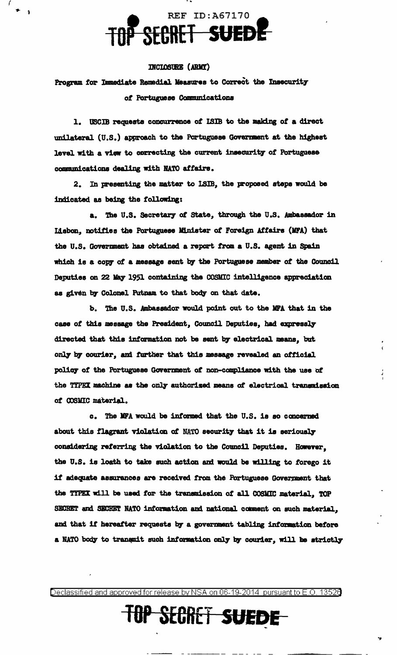## REF ID:A67170 TOP SECRET SUEDE

### INCLOSURE (ARMY)

Program for Immediate Remedial Measures to Correct the Insecurity of Portuguese Communications

1. USCIB requests concurrence of ISIB to the making of a direct unilateral (U.S.) approach to the Portuguese Government at the highest level with a view to correcting the current insecurity of Portuguese communications dealing with NATO affairs.

2. In presenting the matter to ISIB, the proposed steps would be indicated as being the following:

a. The U.S. Secretary of State, through the U.S. Ambassador in Lisbon, notifies the Portuguese Minister of Foreign Affairs (MFA) that the U.S. Government has obtained a report from a U.S. agent in Spain which is a copy of a message sent by the Portuguese member of the Council Deputies on 22 May 1951 containing the COSMIC intelligence appreciation as given by Colonel Putnam to that body on that date.

b. The U.S. Ambassador would point out to the MFA that in the case of this message the President, Council Deputies, had expressly directed that this information not be sent by electrical means, but only by courier, and further that this message revealed an official policy of the Portuguese Government of non-compliance with the use of the TYPEX machine as the only authorized means of electrical transmission of COSMIC material.

c. The MFA would be informed that the U.S. is so concerned about this flagrant violation of NATO security that it is seriously considering referring the violation to the Council Deputies. However, the U.S. is loath to take such action and would be willing to forego it if adequate assurances are received from the Portuguese Government that the TYPEX will be used for the transmission of all COSMIC material, TOP SECRET and SECRET NATO information and national comment on such material, and that if hereafter requests by a government tabling information before a NATO body to transmit such information only by courier, will be strictly

Declassified and approved for release by NSA on 06-19-2014 pursuant to E.O. 13526

# **TOP SECRET SUEDE-**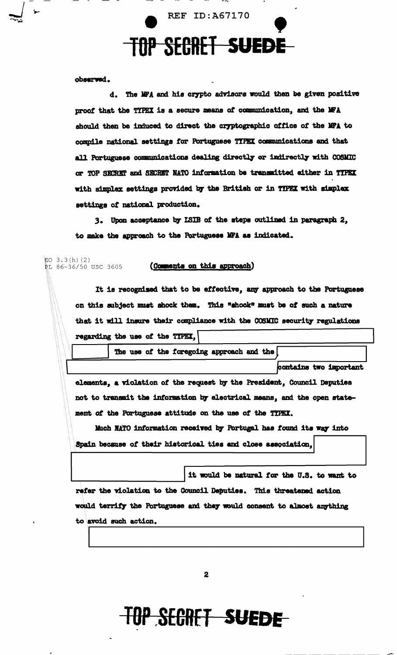

observed.

d. The MFA and his crypto advisors would then be given positive proof that the TYPEX is a secure means of communication, and the MFA should then be induced to direct the cryptographic office of the MFA to compile national settings for Portuguese TYPEX communications and that all Portuguese communications dealing directly or indirectly with COSMIC or TOP SECRET and SECRET NATO information be transmitted either in TYPEX with simplex settings provided by the British or in TYPEX with simplex settings of national production.

3. Upon acceptance by ISIB of the steps outlined in paragraph 2, to make the approach to the Portuguese MFA as indicated.

#### EO  $3.3(h)$  (2) .<br>NL 86-36/50 USC 3605

### (Comments on this approach)

It is recognised that to be effective, any approach to the Portuguese on this subject must shock them. This "shock" must be of such a nature that it will insure their compliance with the COSMIC security regulations regarding the use of the TYPEX.

The use of the foregoing approach and the **contains two important** 

elements, a violation of the request by the President, Council Deputies not to transmit the information by electrical means, and the open statement of the Portuguese attitude on the use of the TYPEX.

Much NATO information received by Portugal has found its way into Spain because of their historical ties and close association,

it would be natural for the U.S. to want to refer the violation to the Council Deputies. This threatened action would terrify the Portuguese and they would consent to almost anything to avoid such action.

 $\mathbf{2}$ 

# **TOP SECRET SUEDE**